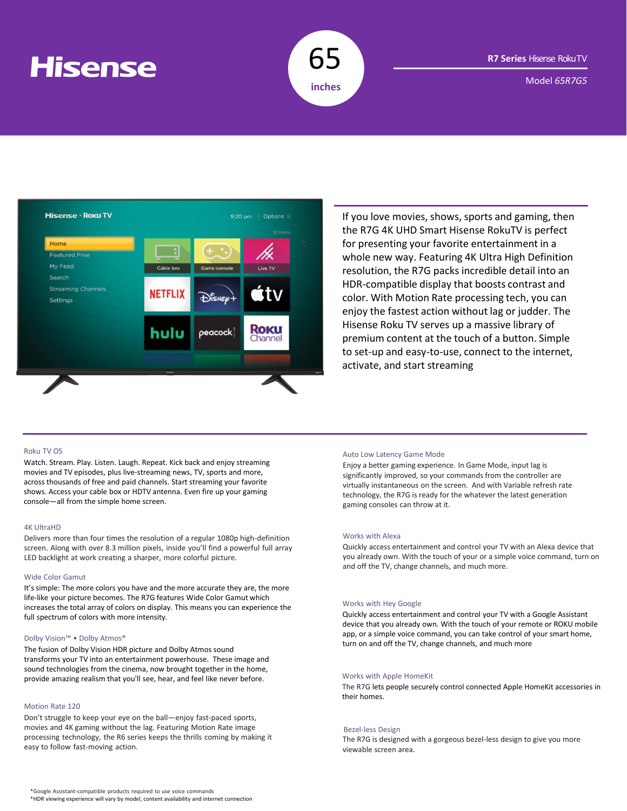# **Hisense**



Model *65R7G5*



If you love movies, shows, sports and gaming, then the R7G 4K UHD Smart Hisense RokuTV is perfect for presenting your favorite entertainment in a whole new way. Featuring 4K Ultra High Definition resolution, the R7G packs incredible detail into an HDR-compatible display that boosts contrast and color. With Motion Rate processing tech, you can enjoy the fastest action without lag or judder. The Hisense Roku TV serves up a massive library of premium content at the touch of a button. Simple to set-up and easy-to-use, connect to the internet, activate, and start streaming

## Roku TV OS

Watch. Stream. Play. Listen. Laugh. Repeat. Kick back and enjoy streaming movies and TV episodes, plus live-streaming news, TV, sports and more, across thousands of free and paid channels. Start streaming your favorite shows. Access your cable box or HDTV antenna. Even fire up your gaming console—all from the simple home screen.

## 4K UltraHD

Delivers more than four times the resolution of a regular 1080p high-definition screen. Along with over 8.3 million pixels, inside you'll find a powerful full array LED backlight at work creating a sharper, more colorful picture.

#### Wide Color Gamut

It's simple: The more colors you have and the more accurate they are, the more life-like your picture becomes. The R7G features Wide Color Gamut which increases the total array of colors on display. This means you can experience the full spectrum of colors with more intensity.

#### Dolby Vision™ • Dolby Atmos®

The fusion of Dolby Vision HDR picture and Dolby Atmos sound transforms your TV into an entertainment powerhouse. These image and sound technologies from the cinema, now brought together in the home, provide amazing realism that you'll see, hear, and feel like never before.

## Motion Rate 120

Don't struggle to keep your eye on the ball—enjoy fast-paced sports, movies and 4K gaming without the lag. Featuring Motion Rate image processing technology, the R6 series keeps the thrills coming by making it easy to follow fast-moving action.

#### Auto Low Latency Game Mode

Enjoy a better gaming experience. In Game Mode, input lag is significantly improved, so your commands from the controller are virtually instantaneous on the screen. And with Variable refresh rate technology, the R7G is ready for the whatever the latest generation gaming consoles can throw at it.

#### Works with Alexa

Quickly access entertainment and control your TV with an Alexa device that you already own. With the touch of your or a simple voice command, turn on and off the TV, change channels, and much more.

#### Works with Hey Google

Quickly access entertainment and control your TV with a Google Assistant device that you already own. With the touch of your remote or ROKU mobile app, or a simple voice command, you can take control of your smart home, turn on and off the TV, change channels, and much more

# Works with Apple HomeKit

The R7G lets people securely control connected Apple HomeKit accessories in their homes.

#### Bezel-less Design

The R7G is designed with a gorgeous bezel-less design to give you more viewable screen area.